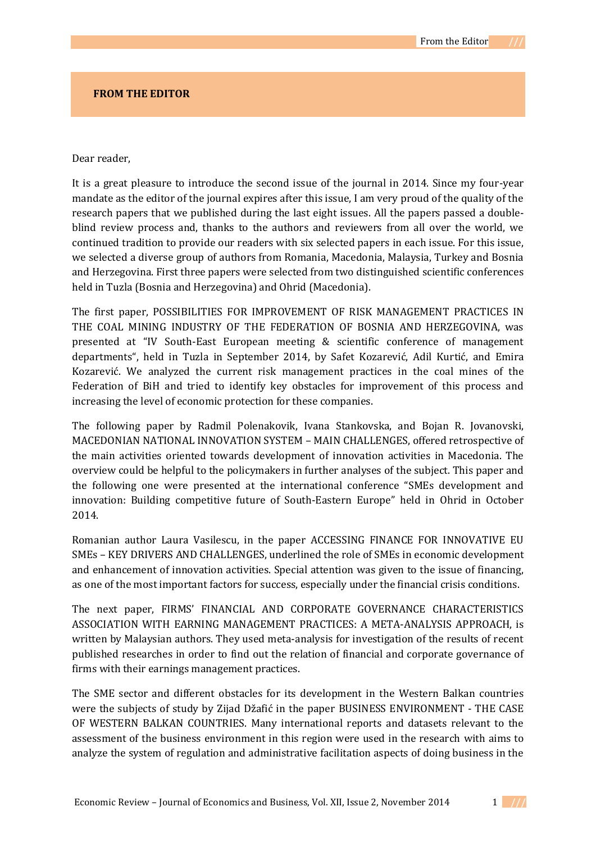## **FROM THE EDITOR**

## Dear reader,

It is a great pleasure to introduce the second issue of the journal in 2014. Since my four-year mandate as the editor of the journal expires after this issue, I am very proud of the quality of the research papers that we published during the last eight issues. All the papers passed a doubleblind review process and, thanks to the authors and reviewers from all over the world, we continued tradition to provide our readers with six selected papers in each issue. For this issue, we selected a diverse group of authors from Romania, Macedonia, Malaysia, Turkey and Bosnia and Herzegovina. First three papers were selected from two distinguished scientific conferences held in Tuzla (Bosnia and Herzegovina) and Ohrid (Macedonia).

The first paper, POSSIBILITIES FOR IMPROVEMENT OF RISK MANAGEMENT PRACTICES IN THE COAL MINING INDUSTRY OF THE FEDERATION OF BOSNIA AND HERZEGOVINA, was presented at "IV South-East European meeting & scientific conference of management departments", held in Tuzla in September 2014, by Safet Kozarević, Adil Kurtić, and Emira Kozarević. We analyzed the current risk management practices in the coal mines of the Federation of BiH and tried to identify key obstacles for improvement of this process and increasing the level of economic protection for these companies.

The following paper by Radmil Polenakovik, Ivana Stankovska, and Bojan R. Jovanovski, MACEDONIAN NATIONAL INNOVATION SYSTEM – MAIN CHALLENGES, offered retrospective of the main activities oriented towards development of innovation activities in Macedonia. The overview could be helpful to the policymakers in further analyses of the subject. This paper and the following one were presented at the international conference "SMEs development and innovation: Building competitive future of South-Eastern Europe" held in Ohrid in October 2014.

Romanian author Laura Vasilescu, in the paper ACCESSING FINANCE FOR INNOVATIVE EU SMEs – KEY DRIVERS AND CHALLENGES, underlined the role of SMEs in economic development and enhancement of innovation activities. Special attention was given to the issue of financing, as one of the most important factors for success, especially under the financial crisis conditions.

The next paper, FIRMS' FINANCIAL AND CORPORATE GOVERNANCE CHARACTERISTICS ASSOCIATION WITH EARNING MANAGEMENT PRACTICES: A META-ANALYSIS APPROACH, is written by Malaysian authors. They used meta-analysis for investigation of the results of recent published researches in order to find out the relation of financial and corporate governance of firms with their earnings management practices.

The SME sector and different obstacles for its development in the Western Balkan countries were the subjects of study by Zijad Džafić in the paper BUSINESS ENVIRONMENT - THE CASE OF WESTERN BALKAN COUNTRIES. Many international reports and datasets relevant to the assessment of the business environment in this region were used in the research with aims to analyze the system of regulation and administrative facilitation aspects of doing business in the